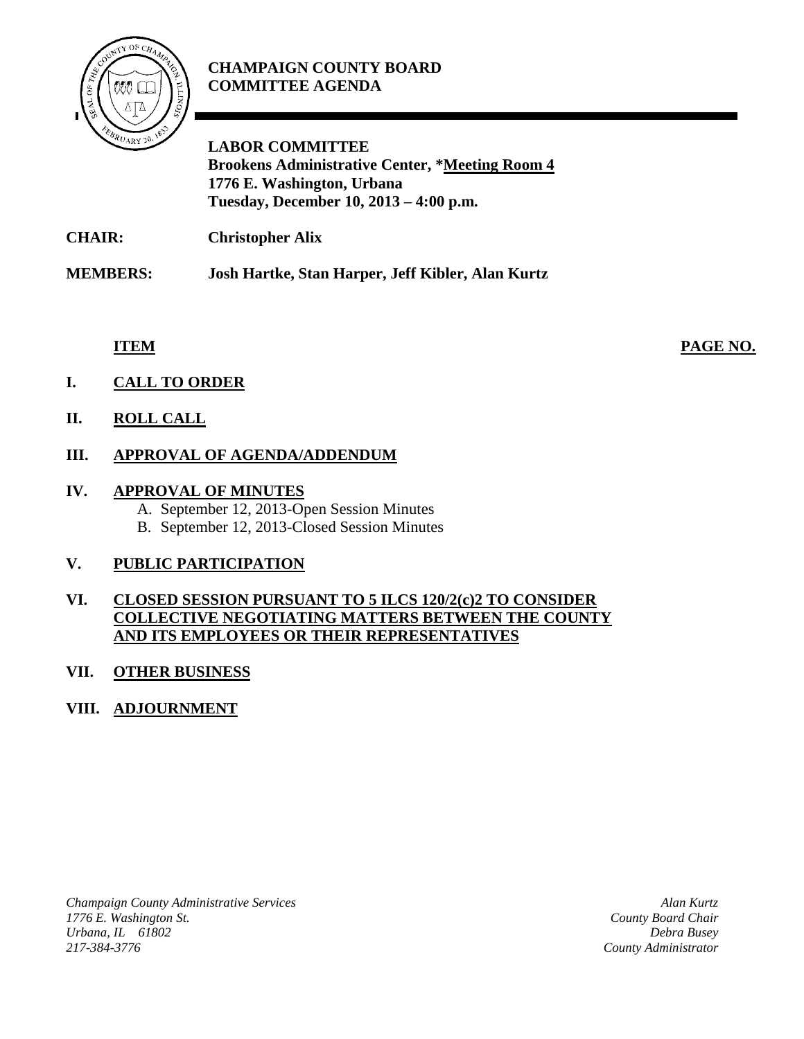# **CHAMPAIGN COUNTY BOARD COMMITTEE AGENDA**



**LABOR COMMITTEE Brookens Administrative Center, \*Meeting Room 4 1776 E. Washington, Urbana Tuesday, December 10, 2013 – 4:00 p.m.**

**CHAIR: Christopher Alix**

**MEMBERS: Josh Hartke, Stan Harper, Jeff Kibler, Alan Kurtz**

**ITEM PAGE NO.**

- **I. CALL TO ORDER**
- **II. ROLL CALL**

## **III. APPROVAL OF AGENDA/ADDENDUM**

#### **IV. APPROVAL OF MINUTES**

A. September 12, 2013-Open Session Minutes B. September 12, 2013-Closed Session Minutes

### **V. PUBLIC PARTICIPATION**

#### **VI. CLOSED SESSION PURSUANT TO 5 ILCS 120/2(c)2 TO CONSIDER COLLECTIVE NEGOTIATING MATTERS BETWEEN THE COUNTY AND ITS EMPLOYEES OR THEIR REPRESENTATIVES**

### **VII. OTHER BUSINESS**

# **VIII. ADJOURNMENT**

*Champaign County Administrative Services 1776 E. Washington St. Urbana, IL 61802 217-384-3776*

*Alan Kurtz County Board Chair Debra Busey County Administrator*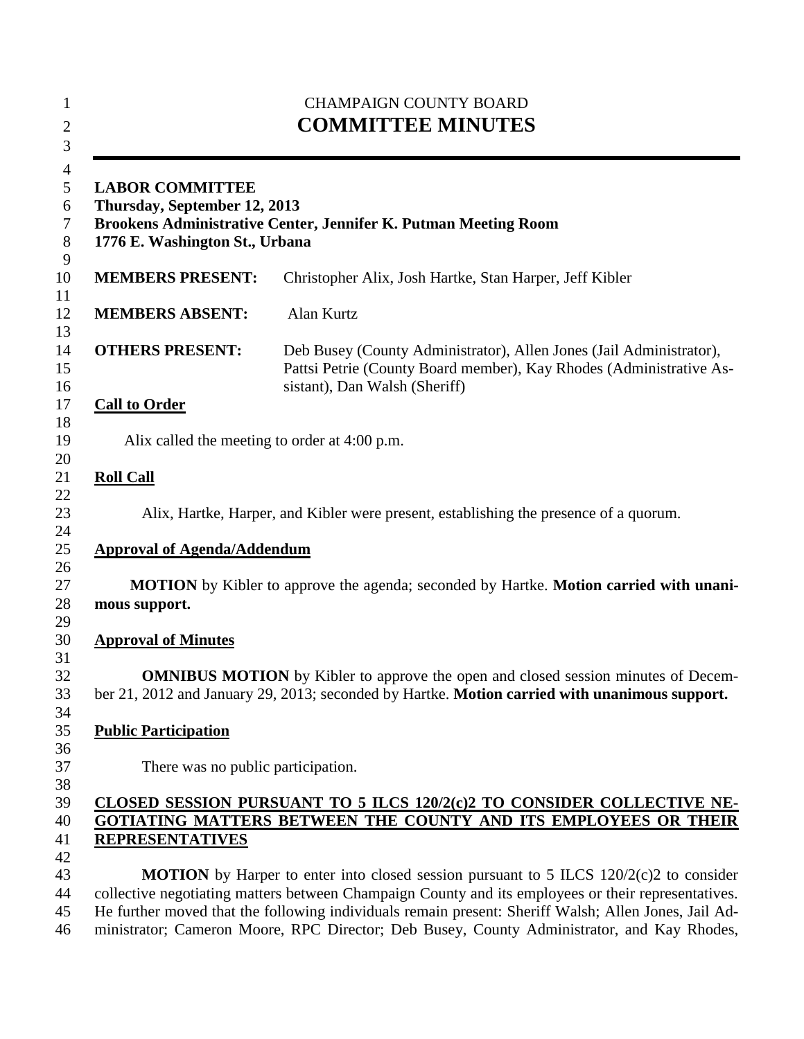| <b>CHAMPAIGN COUNTY BOARD</b><br><b>COMMITTEE MINUTES</b><br><b>LABOR COMMITTEE</b><br>Thursday, September 12, 2013<br>Brookens Administrative Center, Jennifer K. Putman Meeting Room<br>1776 E. Washington St., Urbana |                                                                                                                                                                                                                                                                                                           |
|--------------------------------------------------------------------------------------------------------------------------------------------------------------------------------------------------------------------------|-----------------------------------------------------------------------------------------------------------------------------------------------------------------------------------------------------------------------------------------------------------------------------------------------------------|
|                                                                                                                                                                                                                          |                                                                                                                                                                                                                                                                                                           |
| <b>MEMBERS ABSENT:</b>                                                                                                                                                                                                   | Alan Kurtz                                                                                                                                                                                                                                                                                                |
| <b>OTHERS PRESENT:</b>                                                                                                                                                                                                   | Deb Busey (County Administrator), Allen Jones (Jail Administrator),<br>Pattsi Petrie (County Board member), Kay Rhodes (Administrative As-<br>sistant), Dan Walsh (Sheriff)                                                                                                                               |
| <b>Call to Order</b>                                                                                                                                                                                                     |                                                                                                                                                                                                                                                                                                           |
| Alix called the meeting to order at 4:00 p.m.                                                                                                                                                                            |                                                                                                                                                                                                                                                                                                           |
| <b>Roll Call</b>                                                                                                                                                                                                         |                                                                                                                                                                                                                                                                                                           |
|                                                                                                                                                                                                                          | Alix, Hartke, Harper, and Kibler were present, establishing the presence of a quorum.                                                                                                                                                                                                                     |
| <b>Approval of Agenda/Addendum</b>                                                                                                                                                                                       |                                                                                                                                                                                                                                                                                                           |
| mous support.                                                                                                                                                                                                            | <b>MOTION</b> by Kibler to approve the agenda; seconded by Hartke. <b>Motion carried with unani-</b>                                                                                                                                                                                                      |
| <b>Approval of Minutes</b>                                                                                                                                                                                               |                                                                                                                                                                                                                                                                                                           |
|                                                                                                                                                                                                                          | <b>OMNIBUS MOTION</b> by Kibler to approve the open and closed session minutes of Decem-<br>ber 21, 2012 and January 29, 2013; seconded by Hartke. Motion carried with unanimous support.                                                                                                                 |
| <b>Public Participation</b>                                                                                                                                                                                              |                                                                                                                                                                                                                                                                                                           |
| There was no public participation.                                                                                                                                                                                       |                                                                                                                                                                                                                                                                                                           |
| <b>REPRESENTATIVES</b>                                                                                                                                                                                                   | CLOSED SESSION PURSUANT TO 5 ILCS 120/2(c)2 TO CONSIDER COLLECTIVE NE-<br>GOTIATING MATTERS BETWEEN THE COUNTY AND ITS EMPLOYEES OR THEIR                                                                                                                                                                 |
|                                                                                                                                                                                                                          | <b>MOTION</b> by Harper to enter into closed session pursuant to 5 ILCS 120/2(c)2 to consider                                                                                                                                                                                                             |
|                                                                                                                                                                                                                          | collective negotiating matters between Champaign County and its employees or their representatives.<br>He further moved that the following individuals remain present: Sheriff Walsh; Allen Jones, Jail Ad-<br>ministrator; Cameron Moore, RPC Director; Deb Busey, County Administrator, and Kay Rhodes, |